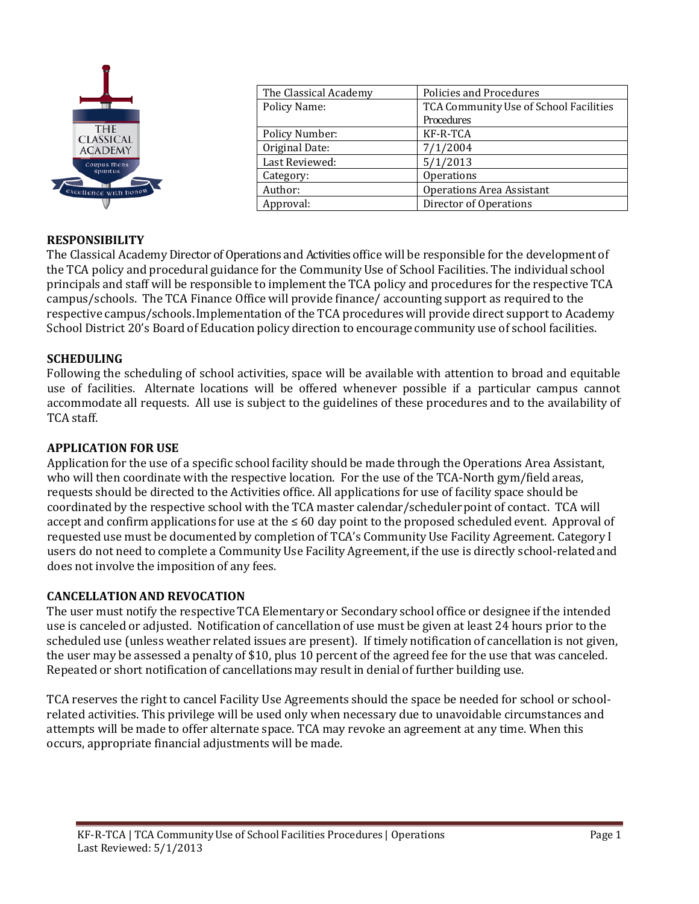

| The Classical Academy | Policies and Procedures                |  |
|-----------------------|----------------------------------------|--|
| Policy Name:          | TCA Community Use of School Facilities |  |
|                       | Procedures                             |  |
| <b>Policy Number:</b> | KF-R-TCA                               |  |
| Original Date:        | 7/1/2004                               |  |
| Last Reviewed:        | 5/1/2013                               |  |
| Category:             | Operations                             |  |
| Author:               | <b>Operations Area Assistant</b>       |  |
| Approval:             | Director of Operations                 |  |
|                       |                                        |  |

#### **RESPONSIBILITY**

The Classical Academy Director of Operations and Activities office will be responsible for the development of the TCA policy and procedural guidance for the CommunityUse of School Facilities. The individual school principals and staff will be responsible to implement the TCA policy and procedures for the respective TCA campus/schools. The TCA Finance Office will provide finance/ accounting support as required to the respective campus/schools. Implementation of the TCA procedures will provide direct support to Academy School District 20's Board of Education policy direction to encourage community use of school facilities.

#### **SCHEDULING**

Following the scheduling of school activities, space will be available with attention to broad and equitable use of facilities. Alternate locations will be offered whenever possible if a particular campus cannot accommodate all requests. All use is subject to the guidelines of these procedures and to the availability of TCA staff.

#### **APPLICATION FOR USE**

Application for the use of a specific school facility should be made through the Operations Area Assistant, who will then coordinate with the respective location. For the use of the TCA-North gym/field areas, requests should be directed to the Activities office. All applications for use of facility space should be coordinated by the respective school with the TCA master calendar/scheduler point of contact. TCA will accept and confirm applications for use at the ≤ 60 day point to the proposed scheduled event. Approval of requested use must be documented by completion of TCA's CommunityUse Facility Agreement. Category I users do not need to complete a CommunityUse Facility Agreement, if the use is directly school-related and does not involve the imposition of any fees.

#### **CANCELLATIONAND REVOCATION**

The user must notify the respective TCA Elementary or Secondary school office or designee if the intended use is canceled or adjusted. Notification of cancellation of use must be given at least 24 hours prior to the scheduled use (unless weather related issues are present). If timely notification of cancellation is not given, the user may be assessed a penalty of \$10, plus 10 percent of the agreed fee for the use that was canceled. Repeated or short notification of cancellations may result in denial of further building use.

TCA reserves the right to cancel Facility Use Agreements should the space be needed for school or schoolrelated activities. This privilege will be used only when necessary due to unavoidable circumstances and attempts will be made to offer alternate space. TCA may revoke an agreement at any time. When this occurs, appropriate financial adjustments will be made.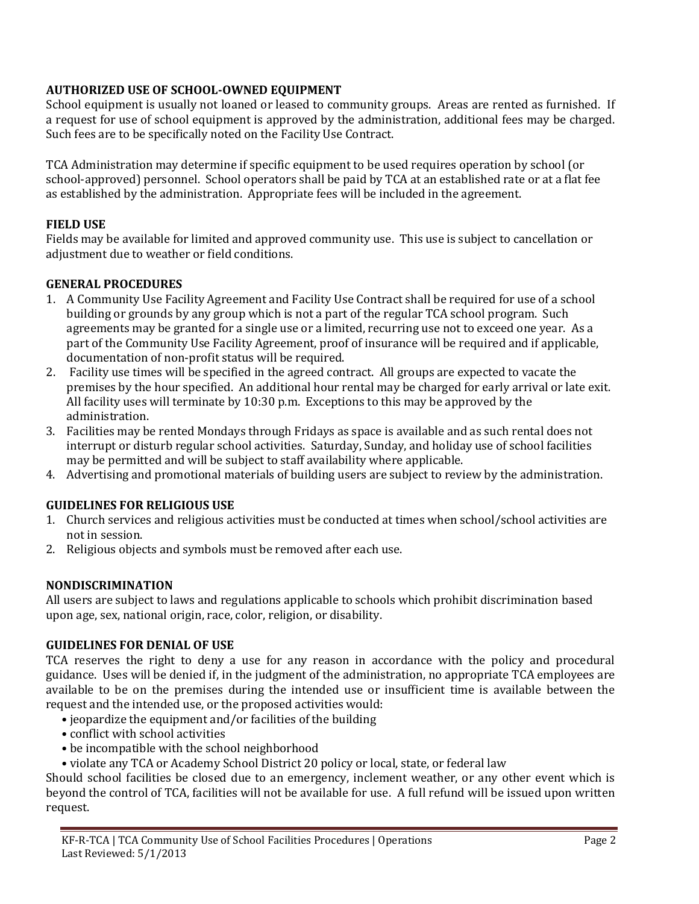## **AUTHORIZED USE OF SCHOOL-OWNED EQUIPMENT**

School equipment is usually not loaned or leased to community groups. Areas are rented as furnished. If a request for use of school equipment is approved by the administration, additional fees may be charged. Such fees are to be specifically noted on the Facility Use Contract.

TCA Administration may determine if specific equipment to be used requires operation by school (or school-approved) personnel. School operators shall be paid by TCA at an established rate or at a flat fee as established by the administration. Appropriate fees will be included in the agreement.

### **FIELD USE**

Fields may be available for limited and approved community use. This use is subject to cancellation or adjustment due to weather or field conditions.

## **GENERAL PROCEDURES**

- 1. A Community Use Facility Agreement and Facility Use Contract shall be required for use of a school building or grounds by any group which is not a part of the regular TCA school program. Such agreements may be granted for a single use or a limited, recurring use not to exceed one year. As a part of the Community Use Facility Agreement, proof of insurance will be required and if applicable, documentation of non-profit status will be required.
- 2. Facility use times will be specified in the agreed contract. All groups are expected to vacate the premises by the hour specified. An additional hour rental may be charged for early arrival or late exit. All facility uses will terminate by 10:30 p.m. Exceptions to this may be approved by the administration.
- 3. Facilities may be rented Mondays through Fridays as space is available and as such rental does not interrupt or disturb regular school activities. Saturday, Sunday, and holiday use of school facilities may be permitted and will be subject to staff availability where applicable.
- 4. Advertising and promotional materials of building users are subject to review by the administration.

# **GUIDELINES FOR RELIGIOUS USE**

- 1. Church services and religious activities must be conducted at times when school/school activities are not in session.
- 2. Religious objects and symbols must be removed after each use.

#### **NONDISCRIMINATION**

All users are subject to laws and regulations applicable to schools which prohibit discrimination based upon age, sex, national origin, race, color, religion, or disability.

#### **GUIDELINES FOR DENIAL OF USE**

TCA reserves the right to deny a use for any reason in accordance with the policy and procedural guidance. Uses will be denied if, in the judgment of the administration, no appropriate TCA employees are available to be on the premises during the intended use or insufficient time is available between the request and the intended use, or the proposed activities would:

- jeopardize the equipment and/or facilities of the building
- conflict with school activities
- be incompatible with the school neighborhood
- violate any TCA or Academy School District 20 policy or local, state, or federal law

Should school facilities be closed due to an emergency, inclement weather, or any other event which is beyond the control of TCA, facilities will not be available for use. A full refund will be issued upon written request.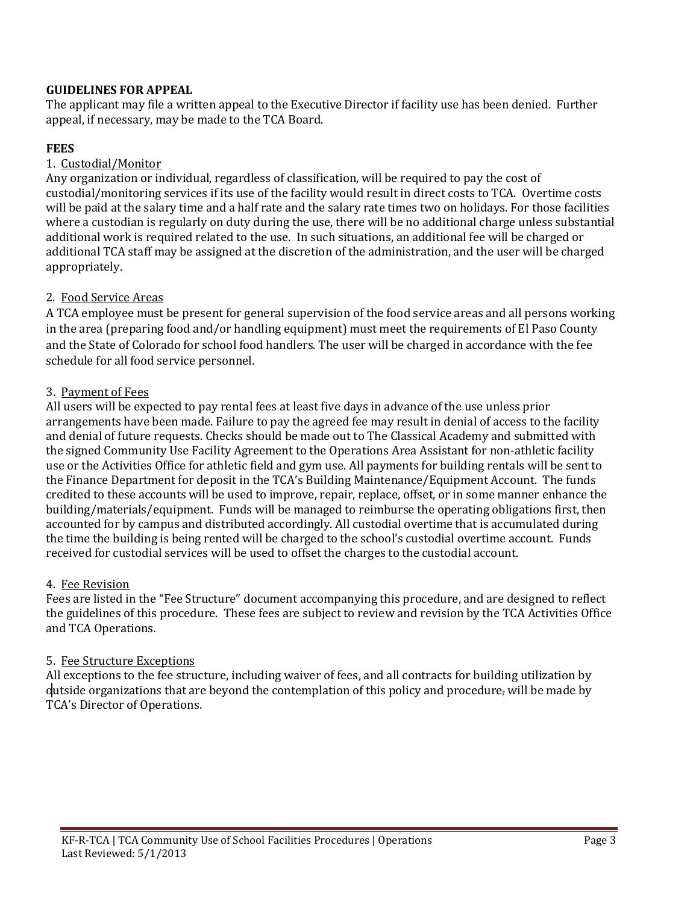### **GUIDELINES FOR APPEAL**

The applicant may file a written appeal to the Executive Director if facility use has been denied. Further appeal, if necessary, may be made to the TCA Board.

## **FEES**

### 1. Custodial/Monitor

Any organization or individual, regardless of classification, will be required to pay the cost of custodial/monitoring services if its use of the facility would result in direct costs to TCA. Overtime costs will be paid at the salary time and a half rate and the salary rate times two on holidays. For those facilities where a custodian is regularly on duty during the use, there will be no additional charge unless substantial additional work is required related to the use. In such situations, an additional fee will be charged or additional TCA staff may be assigned at the discretion of the administration, and the user will be charged appropriately.

## 2. Food Service Areas

A TCA employee must be present for general supervision of the food service areas and all persons working in the area (preparing food and/or handling equipment) must meet the requirements of El Paso County and the State of Colorado for school food handlers. The user will be charged in accordance with the fee schedule for all food service personnel.

## 3. Payment of Fees

All users will be expected to pay rental fees at least five days in advance of the use unless prior arrangements have been made. Failure to pay the agreed fee may result in denial of access to the facility and denial of future requests. Checks should be made out to The Classical Academy and submitted with the signed Community Use Facility Agreement to the Operations Area Assistant for non-athletic facility use or the Activities Office for athletic field and gym use. All payments for building rentals will be sent to the Finance Department for deposit in the TCA's Building Maintenance/Equipment Account. The funds credited to these accounts will be used to improve, repair, replace, offset, or in some manner enhance the building/materials/equipment. Funds will be managed to reimburse the operating obligations first, then accounted for by campus and distributed accordingly. All custodial overtime that is accumulated during the time the building is being rented will be charged to the school's custodial overtime account. Funds received for custodial services will be used to offset the charges to the custodial account.

#### 4. Fee Revision

Fees are listed in the "Fee Structure" document accompanying this procedure, and are designed to reflect the guidelines of this procedure. These fees are subject to review and revision by the TCA Activities Office and TCA Operations.

#### 5. Fee Structure Exceptions

All exceptions to the fee structure, including waiver of fees, and all contracts for building utilization by dutside organizations that are beyond the contemplation of this policy and procedure, will be made by TCA's Director of Operations.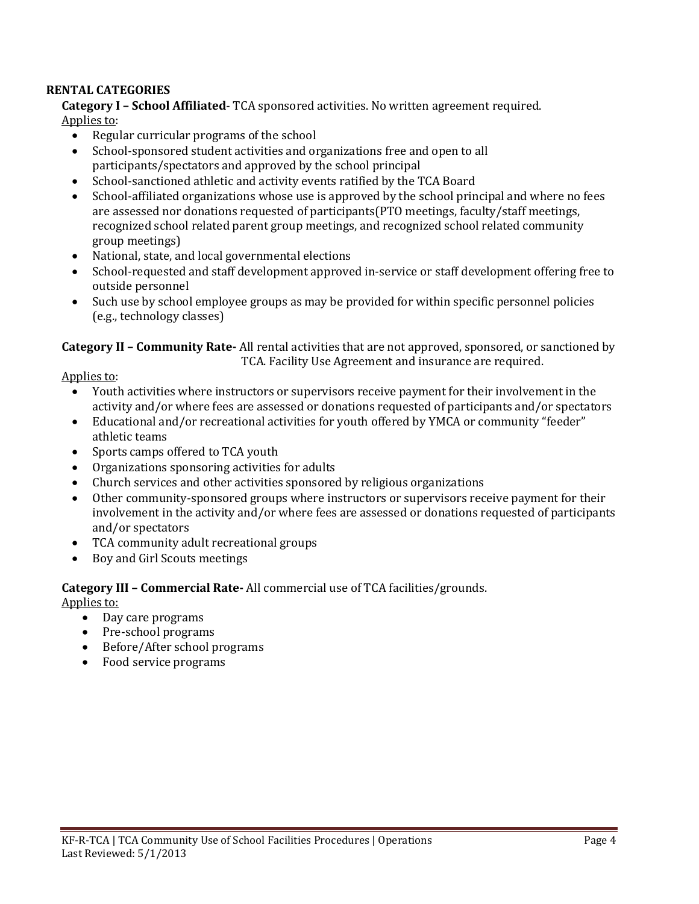#### **RENTAL CATEGORIES**

**Category I – School Affiliated**- TCA sponsored activities. No written agreement required. Applies to:

- Regular curricular programs of the school
- School-sponsored student activities and organizations free and open to all participants/spectators and approved by the school principal
- School-sanctioned athletic and activity events ratified by the TCA Board
- School-affiliated organizations whose use is approved by the school principal and where no fees are assessed nor donations requested of participants(PTO meetings, faculty/staff meetings, recognized school related parent group meetings, and recognized school related community group meetings)
- National, state, and local governmental elections
- School-requested and staff development approved in-service or staff development offering free to outside personnel
- Such use by school employee groups as may be provided for within specific personnel policies (e.g., technology classes)

#### **Category II – Community Rate-** All rental activities that are not approved, sponsored, or sanctioned by TCA. Facility Use Agreement and insurance are required.

Applies to:

- Youth activities where instructors or supervisors receive payment for their involvement in the activity and/or where fees are assessed or donations requested of participants and/or spectators
- Educational and/or recreational activities for youth offered by YMCA or community "feeder" athletic teams
- Sports camps offered to TCA youth
- Organizations sponsoring activities for adults<br>• Church services and other activities sponsored
- Church services and other activities sponsored by religious organizations<br>• Other community-sponsored groups where instructors or supervisors rec
- Other community-sponsored groups where instructors or supervisors receive payment for their involvement in the activity and/or where fees are assessed or donations requested of participants and/or spectators
- TCA community adult recreational groups
- Boy and Girl Scouts meetings

# **Category III – Commercial Rate-** All commercial use of TCA facilities/grounds.

Applies to:

- Day care programs
- Pre-school programs
- Before/After school programs
- Food service programs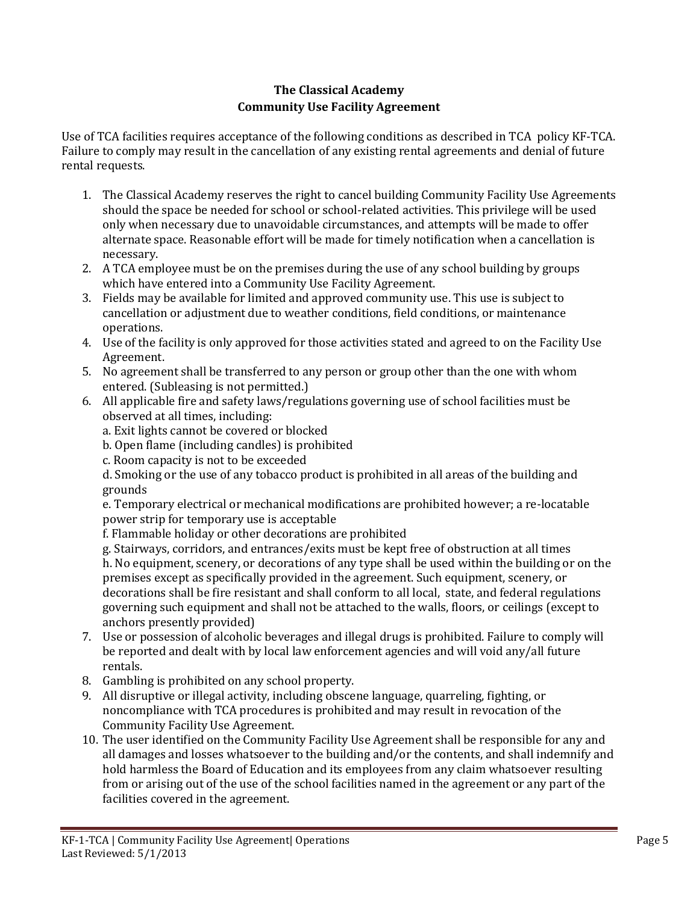# **The Classical Academy Community Use Facility Agreement**

Use of TCA facilities requires acceptance of the following conditions as described in TCA policy KF-TCA. Failure to comply may result in the cancellation of any existing rental agreements and denial of future rental requests.

- 1. The Classical Academy reserves the right to cancel building Community Facility Use Agreements should the space be needed for school or school-related activities. This privilege will be used only when necessary due to unavoidable circumstances, and attempts will be made to offer alternate space. Reasonable effort will be made for timely notification when a cancellation is necessary.
- 2. A TCA employee must be on the premises during the use of any school building by groups which have entered into a Community Use Facility Agreement.
- 3. Fields may be available for limited and approved community use. This use is subject to cancellation or adjustment due to weather conditions, field conditions, or maintenance operations.
- 4. Use of the facility is only approved for those activities stated and agreed to on the Facility Use Agreement.
- 5. No agreement shall be transferred to any person or group other than the one with whom entered. (Subleasing is not permitted.)
- 6. All applicable fire and safety laws/regulations governing use of school facilities must be observed at all times, including:
	- a. Exit lights cannot be covered or blocked
	- b. Open flame (including candles) is prohibited
	- c. Room capacity is not to be exceeded

d. Smoking or the use of any tobacco product is prohibited in all areas of the building and grounds

e. Temporary electrical or mechanical modifications are prohibited however; a re-locatable power strip for temporary use is acceptable

f. Flammable holiday or other decorations are prohibited

g. Stairways, corridors, and entrances/exits must be kept free of obstruction at all times h. No equipment, scenery, or decorations of any type shall be used within the building or on the premises except as specifically provided in the agreement. Such equipment, scenery, or decorations shall be fire resistant and shall conform to all local, state, and federal regulations governing such equipment and shall not be attached to the walls, floors, or ceilings (except to anchors presently provided)

- 7. Use or possession of alcoholic beverages and illegal drugs is prohibited. Failure to comply will be reported and dealt with by local law enforcement agencies and will void any/all future rentals.
- 8. Gambling is prohibited on any school property.
- 9. All disruptive or illegal activity, including obscene language, quarreling, fighting, or noncompliance with TCA procedures is prohibited and may result in revocation of the Community Facility Use Agreement.
- 10. The user identified on the Community Facility Use Agreement shall be responsible for any and all damages and losses whatsoever to the building and/or the contents, and shall indemnify and hold harmless the Board of Education and its employees from any claim whatsoever resulting from or arising out of the use of the school facilities named in the agreement or any part of the facilities covered in the agreement.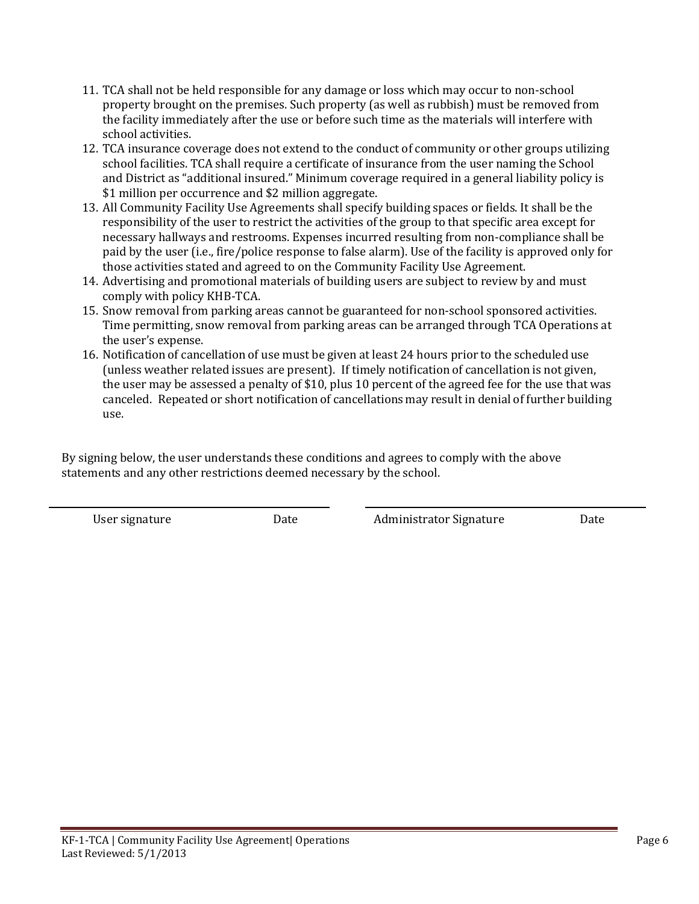- 11. TCA shall not be held responsible for any damage or loss which may occur to non-school property brought on the premises. Such property (as well as rubbish) must be removed from the facility immediately after the use or before such time as the materials will interfere with school activities.
- 12. TCA insurance coverage does not extend to the conduct of community or other groups utilizing school facilities. TCA shall require a certificate of insurance from the user naming the School and District as "additional insured." Minimum coverage required in a general liability policy is \$1 million per occurrence and \$2 million aggregate.
- 13. All Community Facility Use Agreements shall specify building spaces or fields. It shall be the responsibility of the user to restrict the activities of the group to that specific area except for necessary hallways and restrooms. Expenses incurred resulting from non-compliance shall be paid by the user (i.e., fire/police response to false alarm). Use of the facility is approved only for those activities stated and agreed to on the Community Facility Use Agreement.
- 14. Advertising and promotional materials of building users are subject to review by and must comply with policy KHB-TCA.
- 15. Snow removal from parking areas cannot be guaranteed for non-school sponsored activities. Time permitting, snow removal from parking areas can be arranged through TCA Operations at the user's expense.
- 16. Notification of cancellation of use must be given at least 24 hours prior to the scheduled use (unless weather related issues are present). If timely notification of cancellation is not given, the user may be assessed a penalty of \$10, plus 10 percent of the agreed fee for the use that was canceled. Repeated or short notification of cancellations may result in denial of further building use.

By signing below, the user understands these conditions and agrees to comply with the above statements and any other restrictions deemed necessary by the school.

User signature Date Administrator Signature Date